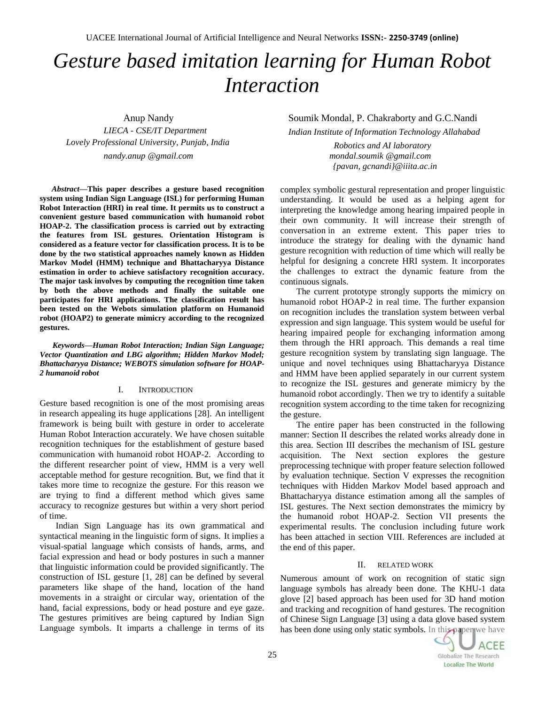UACEE International Journal of Artificial Intelligence and Neural Networks **ISSN:- 2250-3749 (online)**

# *Gesture based imitation learning for Human Robot Interaction*

 Anup Nandy *LIECA - CSE/IT Department Lovely Professional University, Punjab, India nandy.anup @gmail.com*

*Abstract***—This paper describes a gesture based recognition system using Indian Sign Language (ISL) for performing Human Robot Interaction (HRI) in real time. It permits us to construct a convenient gesture based communication with humanoid robot HOAP-2. The classification process is carried out by extracting the features from ISL gestures. Orientation Histogram is considered as a feature vector for classification process. It is to be done by the two statistical approaches namely known as Hidden Markov Model (HMM) technique and Bhattacharyya Distance estimation in order to achieve satisfactory recognition accuracy. The major task involves by computing the recognition time taken by both the above methods and finally the suitable one participates for HRI applications. The classification result has been tested on the Webots simulation platform on Humanoid robot (HOAP2) to generate mimicry according to the recognized gestures.** 

*Keywords—Human Robot Interaction; Indian Sign Language; Vector Quantization and LBG algorithm; Hidden Markov Model; Bhattacharyya Distance; WEBOTS simulation software for HOAP-2 humanoid robot*

## I. INTRODUCTION

Gesture based recognition is one of the most promising areas in research appealing its huge applications [28]. An intelligent framework is being built with gesture in order to accelerate Human Robot Interaction accurately. We have chosen suitable recognition techniques for the establishment of gesture based communication with humanoid robot HOAP-2. According to the different researcher point of view, HMM is a very well acceptable method for gesture recognition. But, we find that it takes more time to recognize the gesture. For this reason we are trying to find a different method which gives same accuracy to recognize gestures but within a very short period of time.

Indian Sign Language has its own grammatical and syntactical meaning in the linguistic form of signs. It implies a visual-spatial language which consists of hands, arms, and facial expression and head or body postures in such a manner that linguistic information could be provided significantly. The construction of ISL gesture [1, 28] can be defined by several parameters like shape of the hand, location of the hand movements in a straight or circular way, orientation of the hand, facial expressions, body or head posture and eye gaze. The gestures primitives are being captured by Indian Sign Language symbols. It imparts a challenge in terms of its

# Soumik Mondal, P. Chakraborty and G.C.Nandi

*Indian Institute of Information Technology Allahabad*

 *Robotics and AI laboratory mondal.soumik @gmail.com {pavan, gcnandi}@iiita.ac.in*

complex symbolic gestural representation and proper linguistic understanding. It would be used as a helping agent for interpreting the knowledge among hearing impaired people in their own community. It will increase their strength of conversation in an extreme extent. This paper tries to introduce the strategy for dealing with the dynamic hand gesture recognition with reduction of time which will really be helpful for designing a concrete HRI system. It incorporates the challenges to extract the dynamic feature from the continuous signals.

The current prototype strongly supports the mimicry on humanoid robot HOAP-2 in real time. The further expansion on recognition includes the translation system between verbal expression and sign language. This system would be useful for hearing impaired people for exchanging information among them through the HRI approach. This demands a real time gesture recognition system by translating sign language. The unique and novel techniques using Bhattacharyya Distance and HMM have been applied separately in our current system to recognize the ISL gestures and generate mimicry by the humanoid robot accordingly. Then we try to identify a suitable recognition system according to the time taken for recognizing the gesture.

The entire paper has been constructed in the following manner: Section II describes the related works already done in this area. Section III describes the mechanism of ISL gesture acquisition. The Next section explores the gesture preprocessing technique with proper feature selection followed by evaluation technique. Section V expresses the recognition techniques with Hidden Markov Model based approach and Bhattacharyya distance estimation among all the samples of ISL gestures. The Next section demonstrates the mimicry by the humanoid robot HOAP-2. Section VII presents the experimental results. The conclusion including future work has been attached in section VIII. References are included at the end of this paper.

## II. RELATED WORK

Numerous amount of work on recognition of static sign language symbols has already been done. The KHU-1 data glove [2] based approach has been used for 3D hand motion and tracking and recognition of hand gestures. The recognition of Chinese Sign Language [3] using a data glove based system has been done using only static symbols. In this paper we have

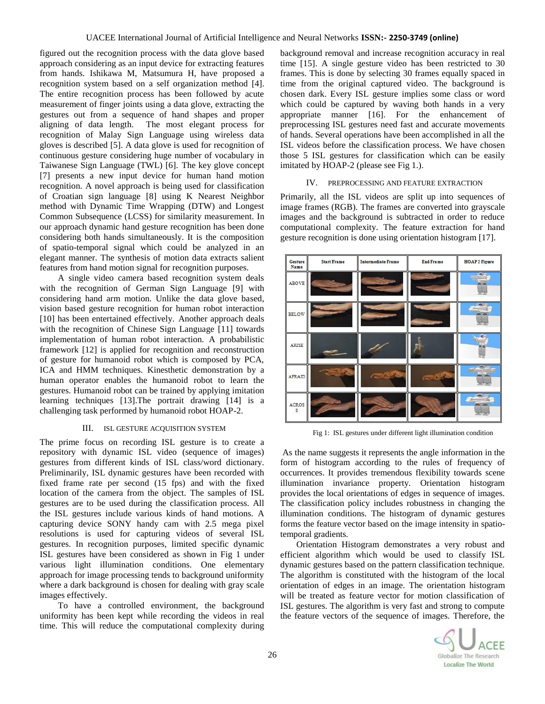figured out the recognition process with the data glove based approach considering as an input device for extracting features from hands. Ishikawa M, Matsumura H, have proposed a recognition system based on a self organization method [4]. The entire recognition process has been followed by acute measurement of finger joints using a data glove, extracting the gestures out from a sequence of hand shapes and proper aligning of data length. The most elegant process for recognition of Malay Sign Language using wireless data gloves is described [5]. A data glove is used for recognition of continuous gesture considering huge number of vocabulary in Taiwanese Sign Language (TWL) [6]. The key glove concept [7] presents a new input device for human hand motion recognition. A novel approach is being used for classification of Croatian sign language [8] using K Nearest Neighbor method with Dynamic Time Wrapping (DTW) and Longest Common Subsequence (LCSS) for similarity measurement. In our approach dynamic hand gesture recognition has been done considering both hands simultaneously. It is the composition of spatio-temporal signal which could be analyzed in an elegant manner. The synthesis of motion data extracts salient features from hand motion signal for recognition purposes.

A single video camera based recognition system deals with the recognition of German Sign Language [9] with considering hand arm motion. Unlike the data glove based, vision based gesture recognition for human robot interaction [10] has been entertained effectively. Another approach deals with the recognition of Chinese Sign Language [11] towards implementation of human robot interaction. A probabilistic framework [12] is applied for recognition and reconstruction of gesture for humanoid robot which is composed by PCA, ICA and HMM techniques. Kinesthetic demonstration by a human operator enables the humanoid robot to learn the gestures. Humanoid robot can be trained by applying imitation learning techniques [13].The portrait drawing [14] is a challenging task performed by humanoid robot HOAP-2.

## III. ISL GESTURE ACQUISITION SYSTEM

The prime focus on recording ISL gesture is to create a repository with dynamic ISL video (sequence of images) gestures from different kinds of ISL class/word dictionary. Preliminarily, ISL dynamic gestures have been recorded with fixed frame rate per second (15 fps) and with the fixed location of the camera from the object. The samples of ISL gestures are to be used during the classification process. All the ISL gestures include various kinds of hand motions. A capturing device SONY handy cam with 2.5 mega pixel resolutions is used for capturing videos of several ISL gestures. In recognition purposes, limited specific dynamic ISL gestures have been considered as shown in Fig 1 under various light illumination conditions. One elementary approach for image processing tends to background uniformity where a dark background is chosen for dealing with gray scale images effectively.

To have a controlled environment, the background uniformity has been kept while recording the videos in real time. This will reduce the computational complexity during

background removal and increase recognition accuracy in real time [15]. A single gesture video has been restricted to 30 frames. This is done by selecting 30 frames equally spaced in time from the original captured video. The background is chosen dark. Every ISL gesture implies some class or word which could be captured by waving both hands in a very appropriate manner [16]. For the enhancement of preprocessing ISL gestures need fast and accurate movements of hands. Several operations have been accomplished in all the ISL videos before the classification process. We have chosen those 5 ISL gestures for classification which can be easily imitated by HOAP-2 (please see Fig 1.).

## IV. PREPROCESSING AND FEATURE EXTRACTION

Primarily, all the ISL videos are split up into sequences of image frames (RGB). The frames are converted into grayscale images and the background is subtracted in order to reduce computational complexity. The feature extraction for hand gesture recognition is done using orientation histogram [17].



Fig 1: ISL gestures under different light illumination condition

As the name suggests it represents the angle information in the form of histogram according to the rules of frequency of occurrences. It provides tremendous flexibility towards scene illumination invariance property. Orientation histogram provides the local orientations of edges in sequence of images. The classification policy includes robustness in changing the illumination conditions. The histogram of dynamic gestures forms the feature vector based on the image intensity in spatiotemporal gradients.

Orientation Histogram demonstrates a very robust and efficient algorithm which would be used to classify ISL dynamic gestures based on the pattern classification technique. The algorithm is constituted with the histogram of the local orientation of edges in an image. The orientation histogram will be treated as feature vector for motion classification of ISL gestures. The algorithm is very fast and strong to compute the feature vectors of the sequence of images. Therefore, the

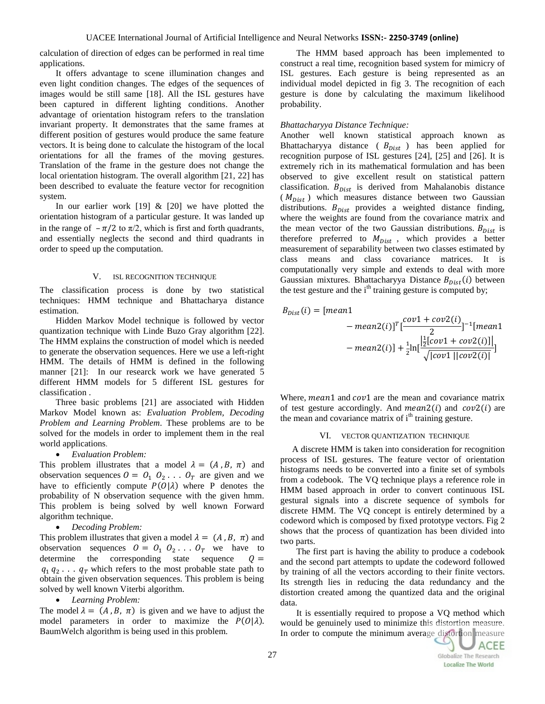calculation of direction of edges can be performed in real time applications.

It offers advantage to scene illumination changes and even light condition changes. The edges of the sequences of images would be still same [18]. All the ISL gestures have been captured in different lighting conditions. Another advantage of orientation histogram refers to the translation invariant property. It demonstrates that the same frames at different position of gestures would produce the same feature vectors. It is being done to calculate the histogram of the local orientations for all the frames of the moving gestures. Translation of the frame in the gesture does not change the local orientation histogram. The overall algorithm [21, 22] has been described to evaluate the feature vector for recognition system.

In our earlier work  $[19]$  &  $[20]$  we have plotted the orientation histogram of a particular gesture. It was landed up in the range of  $-\pi/2$  to  $\pi/2$ , which is first and forth quadrants, and essentially neglects the second and third quadrants in order to speed up the computation.

#### V. ISL RECOGNITION TECHNIQUE

The classification process is done by two statistical techniques: HMM technique and Bhattacharya distance estimation.

Hidden Markov Model technique is followed by vector quantization technique with Linde Buzo Gray algorithm [22]. The HMM explains the construction of model which is needed to generate the observation sequences. Here we use a left-right HMM. The details of HMM is defined in the following manner [21]: In our researck work we have generated 5 different HMM models for 5 different ISL gestures for classification .

Three basic problems [21] are associated with Hidden Markov Model known as: *Evaluation Problem, Decoding Problem and Learning Problem*. These problems are to be solved for the models in order to implement them in the real world applications.

## *Evaluation Problem:*

This problem illustrates that a model  $\lambda = (A, B, \pi)$  and observation sequences  $0 = 0_1 \ 0_2 \ldots 0_T$  are given and we have to efficiently compute  $P(O|\lambda)$  where P denotes the probability of N observation sequence with the given hmm. This problem is being solved by well known Forward algorithm technique.

*Decoding Problem:* 

This problem illustrates that given a model  $\lambda = (A, B, \pi)$  and observation sequences  $0 = 0_1 \ 0_2 \ldots 0_T$  we have to determine the corresponding state sequence  $Q =$  $q_1 q_2 \ldots q_T$  which refers to the most probable state path to obtain the given observation sequences. This problem is being solved by well known Viterbi algorithm.

*Learning Problem:* 

The model  $\lambda = (A, B, \pi)$  is given and we have to adjust the model parameters in order to maximize the  $P(O|\lambda)$ . BaumWelch algorithm is being used in this problem.

The HMM based approach has been implemented to construct a real time, recognition based system for mimicry of ISL gestures. Each gesture is being represented as an individual model depicted in fig 3. The recognition of each gesture is done by calculating the maximum likelihood probability.

#### *Bhattacharyya Distance Technique:*

Another well known statistical approach known as Bhattacharyya distance ( $B_{Dist}$ ) has been applied for recognition purpose of ISL gestures [24], [25] and [26]. It is extremely rich in its mathematical formulation and has been observed to give excellent result on statistical pattern classification.  $B_{Dist}$  is derived from Mahalanobis distance  $(M_{Dist})$  which measures distance between two Gaussian distributions.  $B_{Dist}$  provides a weighted distance finding, where the weights are found from the covariance matrix and the mean vector of the two Gaussian distributions.  $B_{Dist}$  is therefore preferred to  $M_{Dist}$ , which provides a better measurement of separability between two classes estimated by class means and class covariance matrices. It is computationally very simple and extends to deal with more Gaussian mixtures. Bhattacharyya Distance  $B_{Dist}(i)$  between the test gesture and the  $i<sup>th</sup>$  training gesture is computed by;

$$
B_{Dist}(i) = [mean1 - mean2(i)]^T [\frac{cov1 + cov2(i)}{2}]^{-1} [mean1 - mean2(i)] + \frac{1}{2}ln[\frac{|\frac{1}{2}[cov1 + cov2(i)]|}{\sqrt{|cov1||cov2(i)|}}]
$$

Where, mean1 and  $cov1$  are the mean and covariance matrix of test gesture accordingly. And  $mean2(i)$  and  $cov2(i)$  are the mean and covariance matrix of i<sup>th</sup> training gesture.

#### VI. VECTOR QUANTIZATION TECHNIQUE

A discrete HMM is taken into consideration for recognition process of ISL gestures. The feature vector of orientation histograms needs to be converted into a finite set of symbols from a codebook. The VQ technique plays a reference role in HMM based approach in order to convert continuous ISL gestural signals into a discrete sequence of symbols for discrete HMM. The VQ concept is entirely determined by a codeword which is composed by fixed prototype vectors. Fig 2 shows that the process of quantization has been divided into two parts.

The first part is having the ability to produce a codebook and the second part attempts to update the codeword followed by training of all the vectors according to their finite vectors. Its strength lies in reducing the data redundancy and the distortion created among the quantized data and the original data.

It is essentially required to propose a VQ method which would be genuinely used to minimize this distortion measure. In order to compute the minimum average distortion measure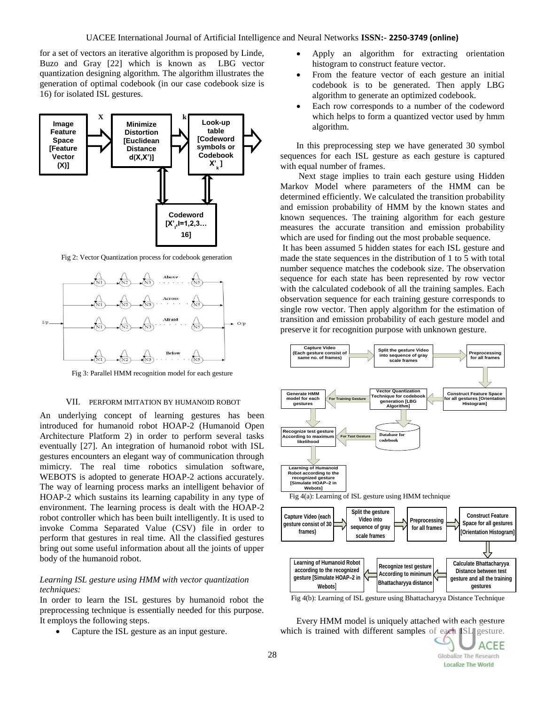for a set of vectors an iterative algorithm is proposed by Linde, Buzo and Gray [22] which is known as LBG vector quantization designing algorithm. The algorithm illustrates the generation of optimal codebook (in our case codebook size is 16) for isolated ISL gestures.



Fig 2: Vector Quantization process for codebook generation



Fig 3: Parallel HMM recognition model for each gesture

## VII. PERFORM IMITATION BY HUMANOID ROBOT

An underlying concept of learning gestures has been introduced for humanoid robot HOAP-2 (Humanoid Open Architecture Platform 2) in order to perform several tasks eventually [27]. An integration of humanoid robot with ISL gestures encounters an elegant way of communication through mimicry. The real time robotics simulation software, WEBOTS is adopted to generate HOAP-2 actions accurately. The way of learning process marks an intelligent behavior of HOAP-2 which sustains its learning capability in any type of environment. The learning process is dealt with the HOAP-2 robot controller which has been built intelligently. It is used to invoke Comma Separated Value (CSV) file in order to perform that gestures in real time. All the classified gestures bring out some useful information about all the joints of upper body of the humanoid robot.

## *Learning ISL gesture using HMM with vector quantization techniques:*

In order to learn the ISL gestures by humanoid robot the preprocessing technique is essentially needed for this purpose. It employs the following steps.

• Capture the ISL gesture as an input gesture.

- Apply an algorithm for extracting orientation histogram to construct feature vector.
- From the feature vector of each gesture an initial codebook is to be generated. Then apply LBG algorithm to generate an optimized codebook.
- Each row corresponds to a number of the codeword which helps to form a quantized vector used by hmm algorithm.

In this preprocessing step we have generated 30 symbol sequences for each ISL gesture as each gesture is captured with equal number of frames.

Next stage implies to train each gesture using Hidden Markov Model where parameters of the HMM can be determined efficiently. We calculated the transition probability and emission probability of HMM by the known states and known sequences. The training algorithm for each gesture measures the accurate transition and emission probability which are used for finding out the most probable sequence.

It has been assumed 5 hidden states for each ISL gesture and made the state sequences in the distribution of 1 to 5 with total number sequence matches the codebook size. The observation sequence for each state has been represented by row vector with the calculated codebook of all the training samples. Each observation sequence for each training gesture corresponds to single row vector. Then apply algorithm for the estimation of transition and emission probability of each gesture model and preserve it for recognition purpose with unknown gesture.



Fig 4(b): Learning of ISL gesture using Bhattacharyya Distance Technique

**Distance between test gesture and all the training**

ACEE

Globalize The Research **Localize The World** 

Every HMM model is uniquely attached with each gesture which is trained with different samples of each ISL gesture.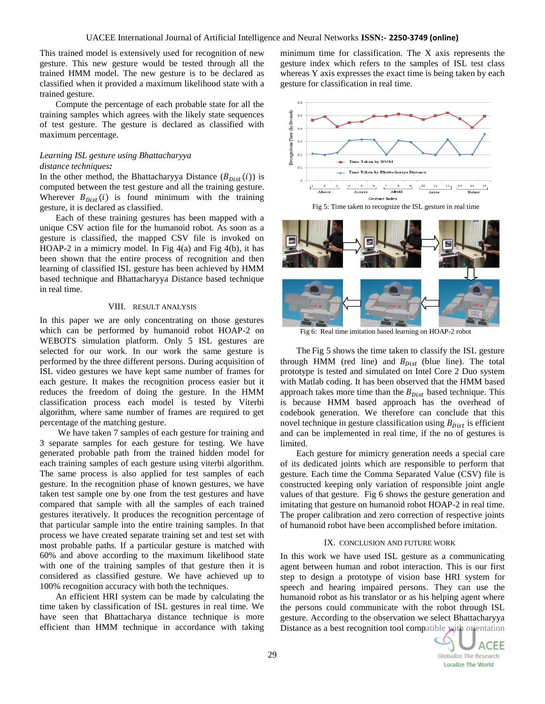This trained model is extensively used for recognition of new gesture. This new gesture would be tested through all the trained HMM model. The new gesture is to be declared as classified when it provided a maximum likelihood state with a trained gesture.

Compute the percentage of each probable state for all the training samples which agrees with the likely state sequences of test gesture. The gesture is declared as classified with maximum percentage.

# *Learning ISL gesture using Bhattacharyya distance techniques:*

In the other method, the Bhattacharyya Distance  $(B_{Dist}(i))$  is computed between the test gesture and all the training gesture. Wherever  $B_{Dist}(i)$  is found minimum with the training gesture, it is declared as classified.

Each of these training gestures has been mapped with a unique CSV action file for the humanoid robot. As soon as a gesture is classified, the mapped CSV file is invoked on HOAP-2 in a mimicry model. In Fig  $4(a)$  and Fig  $4(b)$ , it has been shown that the entire process of recognition and then learning of classified ISL gesture has been achieved by HMM based technique and Bhattacharyya Distance based technique in real time.

## VIII. RESULT ANALYSIS

In this paper we are only concentrating on those gestures which can be performed by humanoid robot HOAP-2 on WEBOTS simulation platform. Only 5 ISL gestures are selected for our work. In our work the same gesture is performed by the three different persons. During acquisition of ISL video gestures we have kept same number of frames for each gesture. It makes the recognition process easier but it reduces the freedom of doing the gesture. In the HMM classification process each model is tested by Viterbi algorithm, where same number of frames are required to get percentage of the matching gesture.

We have taken 7 samples of each gesture for training and 3 separate samples for each gesture for testing. We have generated probable path from the trained hidden model for each training samples of each gesture using viterbi algorithm. The same process is also applied for test samples of each gesture. In the recognition phase of known gestures, we have taken test sample one by one from the test gestures and have compared that sample with all the samples of each trained gestures iteratively. It produces the recognition percentage of that particular sample into the entire training samples. In that process we have created separate training set and test set with most probable paths. If a particular gesture is matched with 60% and above according to the maximum likelihood state with one of the training samples of that gesture then it is considered as classified gesture. We have achieved up to 100% recognition accuracy with both the techniques.

An efficient HRI system can be made by calculating the time taken by classification of ISL gestures in real time. We have seen that Bhattacharya distance technique is more efficient than HMM technique in accordance with taking minimum time for classification. The X axis represents the gesture index which refers to the samples of ISL test class whereas Y axis expresses the exact time is being taken by each gesture for classification in real time.



Fig 5: Time taken to recognize the ISL gesture in real time



Fig 6: Real time imitation based learning on HOAP-2 robot

The Fig 5 shows the time taken to classify the ISL gesture through HMM (red line) and  $B_{Dist}$  (blue line). The total prototype is tested and simulated on Intel Core 2 Duo system with Matlab coding. It has been observed that the HMM based approach takes more time than the  $B_{Dist}$  based technique. This is because HMM based approach has the overhead of codebook generation. We therefore can conclude that this novel technique in gesture classification using  $B_{Dist}$  is efficient and can be implemented in real time, if the no of gestures is limited.

Each gesture for mimicry generation needs a special care of its dedicated joints which are responsible to perform that gesture. Each time the Comma Separated Value (CSV) file is constructed keeping only variation of responsible joint angle values of that gesture. Fig 6 shows the gesture generation and imitating that gesture on humanoid robot HOAP-2 in real time. The proper calibration and zero correction of respective joints of humanoid robot have been accomplished before imitation.

## IX. CONCLUSION AND FUTURE WORK

In this work we have used ISL gesture as a communicating agent between human and robot interaction. This is our first step to design a prototype of vision base HRI system for speech and hearing impaired persons. They can use the humanoid robot as his translator or as his helping agent where the persons could communicate with the robot through ISL gesture. According to the observation we select Bhattacharyya Distance as a best recognition tool compatible with orientation